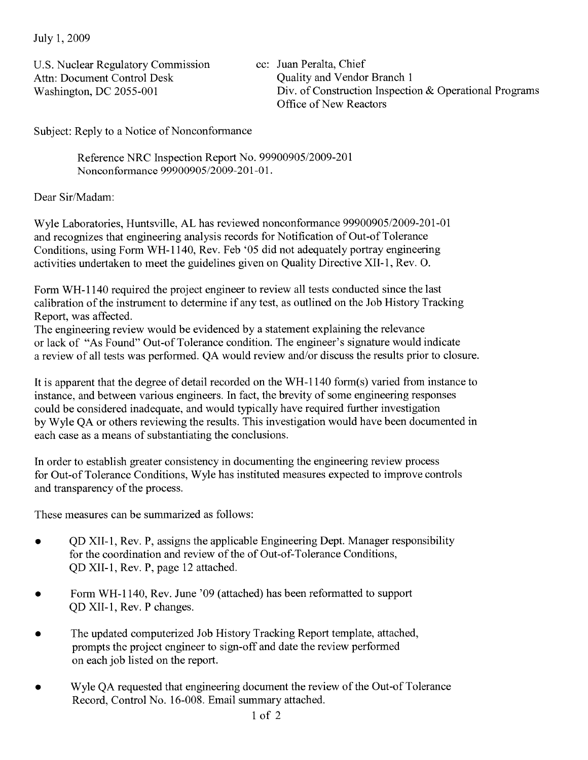July 1, 2009

U.S. Nuclear Regulatory Commission Attn: Document Control Desk Washington, DC 2055-001

cc: Juan Peralta, Chief Quality and Vendor Branch 1 Div. of Construction Inspection & Operational Programs Office of New Reactors

Subject: Reply to a Notice of Nonconformance

Reference NRC Inspection Report No. 99900905/2009-201 Nonconformance 99900905/2009-201-01.

Dear Sir/Madam:

Wyle Laboratories, Huntsville, AL has reviewed nonconformance 99900905/2009-201-01 and recognizes that engineering analysis records for Notification of Out-of Tolerance Conditions, using Form WH-II40, Rev. Feb '05 did not adequately portray engineering activities undertaken to meet the guidelines given on Quality Directive XII-I, Rev. O.

Form WH-II40 required the project engineer to review all tests conducted since the last calibration of the instrument to determine if any test, as outlined on the Job History Tracking Report, was affected.

The engineering review would be evidenced by a statement explaining the relevance or lack of "As Found" Out-of Tolerance condition. The engineer's signature would indicate a review of all tests was performed. QA would review and/or discuss the results prior to closure.

It is apparent that the degree of detail recorded on the WH-1140 form(s) varied from instance to instance, and between various engineers. In fact, the brevity of some engineering responses could be considered inadequate, and would typically have required further investigation by Wyle QA or others reviewing the results. This investigation would have been documented in each case as a means of substantiating the conclusions.

In order to establish greater consistency in documenting the engineering review process for Out-of Tolerance Conditions, Wyle has instituted measures expected to improve controls and transparency of the process.

These measures can be summarized as follows:

- OD XII-1, Rev. P, assigns the applicable Engineering Dept. Manager responsibility for the coordination and review of the of Out-of-Tolerance Conditions, QD XII-I, Rev. P, page 12 attached.
- Form WH-1140, Rev. June '09 (attached) has been reformatted to support QD XII-I, Rev. P changes.
- The updated computerized Job History Tracking Report template, attached, prompts the project engineer to sign-off and date the review performed on each job listed on the report.
- Wyle QA requested that engineering document the review of the Out-of Tolerance Record, Control No. 16-008. Email summary attached.